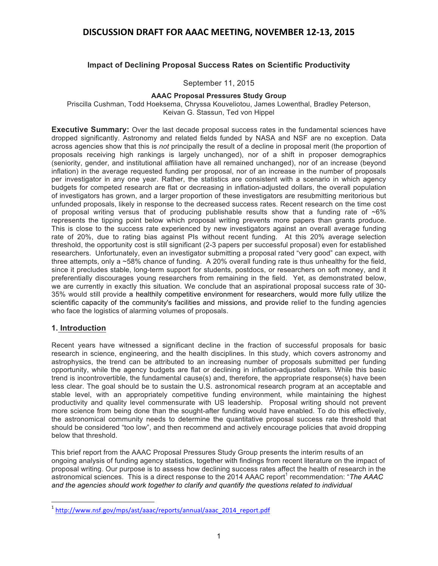### **Impact of Declining Proposal Success Rates on Scientific Productivity**

#### September 11, 2015

#### **AAAC Proposal Pressures Study Group**

Priscilla Cushman, Todd Hoeksema, Chryssa Kouveliotou, James Lowenthal, Bradley Peterson, Keivan G. Stassun, Ted von Hippel

**Executive Summary:** Over the last decade proposal success rates in the fundamental sciences have dropped significantly. Astronomy and related fields funded by NASA and NSF are no exception. Data across agencies show that this is *not* principally the result of a decline in proposal merit (the proportion of proposals receiving high rankings is largely unchanged), nor of a shift in proposer demographics (seniority, gender, and institutional affiliation have all remained unchanged), nor of an increase (beyond inflation) in the average requested funding per proposal, nor of an increase in the number of proposals per investigator in any one year. Rather, the statistics are consistent with a scenario in which agency budgets for competed research are flat or decreasing in inflation-adjusted dollars, the overall population of investigators has grown, and a larger proportion of these investigators are resubmitting meritorious but unfunded proposals, likely in response to the decreased success rates. Recent research on the time cost of proposal writing versus that of producing publishable results show that a funding rate of  $~6\%$ represents the tipping point below which proposal writing prevents more papers than grants produce. This is close to the success rate experienced by new investigators against an overall average funding rate of 20%, due to rating bias against PIs without recent funding. At this 20% average selection threshold, the opportunity cost is still significant (2-3 papers per successful proposal) even for established researchers. Unfortunately, even an investigator submitting a proposal rated "very good" can expect, with three attempts, only a ~58% chance of funding. A 20% overall funding rate is thus unhealthy for the field, since it precludes stable, long-term support for students, postdocs, or researchers on soft money, and it preferentially discourages young researchers from remaining in the field. Yet, as demonstrated below, we are currently in exactly this situation. We conclude that an aspirational proposal success rate of 30- 35% would still provide a healthily competitive environment for researchers, would more fully utilize the scientific capacity of the community's facilities and missions, and provide relief to the funding agencies who face the logistics of alarming volumes of proposals.

### **1. Introduction**

<u> 1989 - Johann Stein, markin film yn y breninn y breninn y breninn y breninn y breninn y breninn y breninn y b</u>

Recent years have witnessed a significant decline in the fraction of successful proposals for basic research in science, engineering, and the health disciplines. In this study, which covers astronomy and astrophysics, the trend can be attributed to an increasing number of proposals submitted per funding opportunity, while the agency budgets are flat or declining in inflation-adjusted dollars. While this basic trend is incontrovertible, the fundamental cause(s) and, therefore, the appropriate response(s) have been less clear. The goal should be to sustain the U.S. astronomical research program at an acceptable and stable level, with an appropriately competitive funding environment, while maintaining the highest productivity and quality level commensurate with US leadership. Proposal writing should not prevent more science from being done than the sought-after funding would have enabled. To do this effectively, the astronomical community needs to determine the quantitative proposal success rate threshold that should be considered "too low", and then recommend and actively encourage policies that avoid dropping below that threshold.

This brief report from the AAAC Proposal Pressures Study Group presents the interim results of an ongoing analysis of funding agency statistics, together with findings from recent literature on the impact of proposal writing. Our purpose is to assess how declining success rates affect the health of research in the astronomical sciences. This is a direct response to the 2014 AAAC report<sup>1</sup> recommendation: "The AAAC *and the agencies should work together to clarify and quantify the questions related to individual* 

<sup>1</sup> http://www.nsf.gov/mps/ast/aaac/reports/annual/aaac\_2014\_report.pdf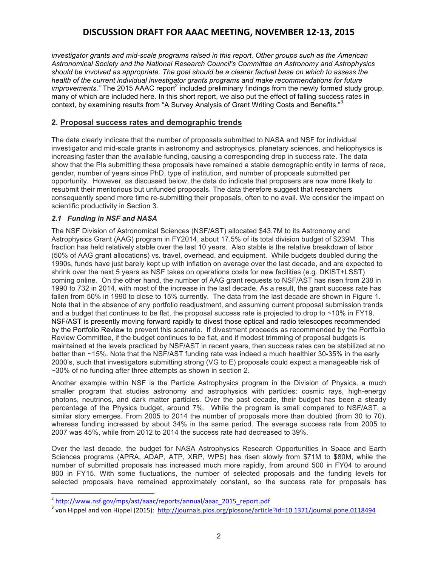*investigator grants and mid-scale programs raised in this report. Other groups such as the American Astronomical Society and the National Research Council's Committee on Astronomy and Astrophysics should be involved as appropriate. The goal should be a clearer factual base on which to assess the health of the current individual investigator grants programs and make recommendations for future improvements."* The 2015 AAAC report<sup>2</sup> included preliminary findings from the newly formed study group, many of which are included here. In this short report, we also put the effect of falling success rates in context, by examining results from "A Survey Analysis of Grant Writing Costs and Benefits." 3

### **2. Proposal success rates and demographic trends**

The data clearly indicate that the number of proposals submitted to NASA and NSF for individual investigator and mid-scale grants in astronomy and astrophysics, planetary sciences, and heliophysics is increasing faster than the available funding, causing a corresponding drop in success rate. The data show that the PIs submitting these proposals have remained a stable demographic entity in terms of race, gender, number of years since PhD, type of institution, and number of proposals submitted per opportunity. However, as discussed below, the data do indicate that proposers are now more likely to resubmit their meritorious but unfunded proposals. The data therefore suggest that researchers consequently spend more time re-submitting their proposals, often to no avail. We consider the impact on scientific productivity in Section 3.

### *2.1 Funding in NSF and NASA*

<u> 1989 - Johann Stein, markin film yn y breninn y breninn y breninn y breninn y breninn y breninn y breninn y b</u>

The NSF Division of Astronomical Sciences (NSF/AST) allocated \$43.7M to its Astronomy and Astrophysics Grant (AAG) program in FY2014, about 17.5% of its total division budget of \$239M. This fraction has held relatively stable over the last 10 years. Also stable is the relative breakdown of labor (50% of AAG grant allocations) vs. travel, overhead, and equipment. While budgets doubled during the 1990s, funds have just barely kept up with inflation on average over the last decade, and are expected to shrink over the next 5 years as NSF takes on operations costs for new facilities (e.g. DKIST+LSST) coming online. On the other hand, the number of AAG grant requests to NSF/AST has risen from 238 in 1990 to 732 in 2014, with most of the increase in the last decade. As a result, the grant success rate has fallen from 50% in 1990 to close to 15% currently. The data from the last decade are shown in Figure 1. Note that in the absence of any portfolio readjustment, and assuming current proposal submission trends and a budget that continues to be flat, the proposal success rate is projected to drop to  $\sim$ 10% in FY19. NSF/AST is presently moving forward rapidly to divest those optical and radio telescopes recommended by the Portfolio Review to prevent this scenario. If divestment proceeds as recommended by the Portfolio Review Committee, if the budget continues to be flat, and if modest trimming of proposal budgets is maintained at the levels practiced by NSF/AST in recent years, then success rates can be stabilized at no better than ~15%. Note that the NSF/AST funding rate was indeed a much healthier 30-35% in the early 2000's, such that investigators submitting strong (VG to E) proposals could expect a manageable risk of ~30% of no funding after three attempts as shown in section 2.

Another example within NSF is the Particle Astrophysics program in the Division of Physics, a much smaller program that studies astronomy and astrophysics with particles: cosmic rays, high-energy photons, neutrinos, and dark matter particles. Over the past decade, their budget has been a steady percentage of the Physics budget, around 7%. While the program is small compared to NSF/AST, a similar story emerges. From 2005 to 2014 the number of proposals more than doubled (from 30 to 70), whereas funding increased by about 34% in the same period. The average success rate from 2005 to 2007 was 45%, while from 2012 to 2014 the success rate had decreased to 39%.

Over the last decade, the budget for NASA Astrophysics Research Opportunities in Space and Earth Sciences programs (APRA, ADAP, ATP, XRP, WPS) has risen slowly from \$71M to \$80M, while the number of submitted proposals has increased much more rapidly, from around 500 in FY04 to around 800 in FY15. With some fluctuations, the number of selected proposals and the funding levels for selected proposals have remained approximately constant, so the success rate for proposals has

<sup>2</sup> http://www.nsf.gov/mps/ast/aaac/reports/annual/aaac\_2015\_report.pdf

<sup>&</sup>lt;sup>3</sup> von Hippel and von Hippel (2015): http://journals.plos.org/plosone/article?id=10.1371/journal.pone.0118494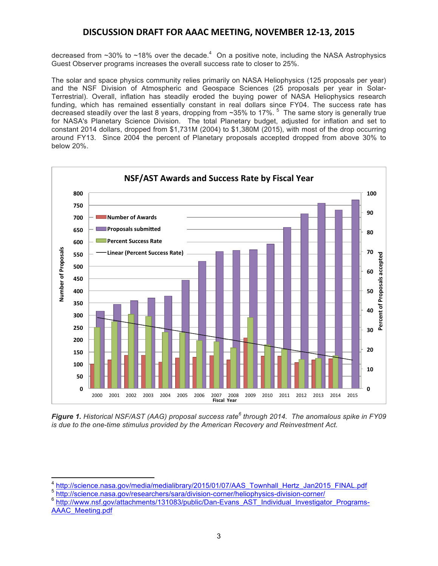decreased from ~30% to ~18% over the decade.<sup>4</sup> On a positive note, including the NASA Astrophysics Guest Observer programs increases the overall success rate to closer to 25%.

The solar and space physics community relies primarily on NASA Heliophysics (125 proposals per year) and the NSF Division of Atmospheric and Geospace Sciences (25 proposals per year in Solar-Terrestrial). Overall, inflation has steadily eroded the buying power of NASA Heliophysics research funding, which has remained essentially constant in real dollars since FY04. The success rate has decreased steadily over the last 8 years, dropping from  $\sim$ 35% to 17%.  $^5$  The same story is generally true for NASA's Planetary Science Division. The total Planetary budget, adjusted for inflation and set to constant 2014 dollars, dropped from \$1,731M (2004) to \$1,380M (2015), with most of the drop occurring around FY13. Since 2004 the percent of Planetary proposals accepted dropped from above 30% to below 20%.



*Figure 1. Historical NSF/AST (AAG) proposal success rate<sup>6</sup> through 2014. The anomalous spike in FY09 is due to the one-time stimulus provided by the American Recovery and Reinvestment Act.*

<sup>5</sup> http://science.nasa.gov/researchers/sara/division-corner/heliophysics-division-corner/

http://science.nasa.gov/media/medialibrary/2015/01/07/AAS\_Townhall\_Hertz\_Jan2015\_FINAL.pdf

<sup>&</sup>lt;sup>6</sup> http://www.nsf.gov/attachments/131083/public/Dan-Evans\_AST\_Individual\_Investigator\_Programs-AAAC\_Meeting.pdf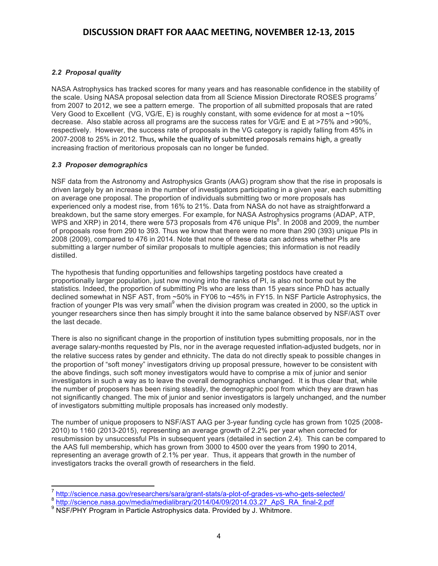### *2.2 Proposal quality*

NASA Astrophysics has tracked scores for many years and has reasonable confidence in the stability of the scale. Using NASA proposal selection data from all Science Mission Directorate ROSES programs<sup>7</sup> from 2007 to 2012, we see a pattern emerge. The proportion of all submitted proposals that are rated Very Good to Excellent (VG, VG/E, E) is roughly constant, with some evidence for at most a  $\sim$  10% decrease. Also stable across all programs are the success rates for VG/E and E at >75% and >90%, respectively. However, the success rate of proposals in the VG category is rapidly falling from 45% in 2007-2008 to 25% in 2012. Thus, while the quality of submitted proposals remains high, a greatly increasing fraction of meritorious proposals can no longer be funded.

### *2.3 Proposer demographics*

NSF data from the Astronomy and Astrophysics Grants (AAG) program show that the rise in proposals is driven largely by an increase in the number of investigators participating in a given year, each submitting on average one proposal. The proportion of individuals submitting two or more proposals has experienced only a modest rise, from 16% to 21%. Data from NASA do not have as straightforward a breakdown, but the same story emerges. For example, for NASA Astrophysics programs (ADAP, ATP, WPS and XRP) in 2014, there were 573 proposals from 476 unique PIs $^8$ . In 2008 and 2009, the number of proposals rose from 290 to 393. Thus we know that there were no more than 290 (393) unique PIs in 2008 (2009), compared to 476 in 2014. Note that none of these data can address whether PIs are submitting a larger number of similar proposals to multiple agencies; this information is not readily distilled.

The hypothesis that funding opportunities and fellowships targeting postdocs have created a proportionally larger population, just now moving into the ranks of PI, is also not borne out by the statistics. Indeed, the proportion of submitting PIs who are less than 15 years since PhD has actually declined somewhat in NSF AST, from ~50% in FY06 to ~45% in FY15. In NSF Particle Astrophysics, the fraction of younger PIs was very small<sup>9</sup> when the division program was created in 2000, so the uptick in younger researchers since then has simply brought it into the same balance observed by NSF/AST over the last decade.

There is also no significant change in the proportion of institution types submitting proposals, nor in the average salary-months requested by PIs, nor in the average requested inflation-adjusted budgets, nor in the relative success rates by gender and ethnicity. The data do not directly speak to possible changes in the proportion of "soft money" investigators driving up proposal pressure, however to be consistent with the above findings, such soft money investigators would have to comprise a mix of junior and senior investigators in such a way as to leave the overall demographics unchanged. It is thus clear that, while the number of proposers has been rising steadily, the demographic pool from which they are drawn has not significantly changed. The mix of junior and senior investigators is largely unchanged, and the number of investigators submitting multiple proposals has increased only modestly.

The number of unique proposers to NSF/AST AAG per 3-year funding cycle has grown from 1025 (2008- 2010) to 1160 (2013-2015), representing an average growth of 2.2% per year when corrected for resubmission by unsuccessful PIs in subsequent years (detailed in section 2.4). This can be compared to the AAS full membership, which has grown from 3000 to 4500 over the years from 1990 to 2014, representing an average growth of 2.1% per year. Thus, it appears that growth in the number of investigators tracks the overall growth of researchers in the field.

 <sup>7</sup> http://science.nasa.gov/researchers/sara/grant-stats/a-plot-of-grades-vs-who-gets-selected/

<sup>&</sup>lt;sup>8</sup> http://science.nasa.gov/media/medialibrary/2014/04/09/2014.03.27\_ApS\_RA\_final-2.pdf<br><sup>9</sup> NSF/PHY Program in Particle Astrophysics data. Provided by J. Whitmore.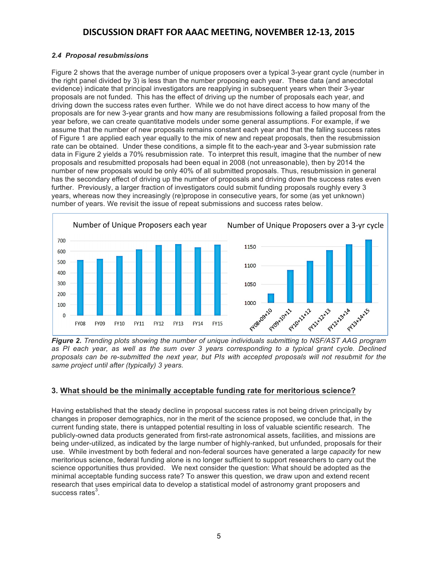### *2.4 Proposal resubmissions*

Figure 2 shows that the average number of unique proposers over a typical 3-year grant cycle (number in the right panel divided by 3) is less than the number proposing each year. These data (and anecdotal evidence) indicate that principal investigators are reapplying in subsequent years when their 3-year proposals are not funded. This has the effect of driving up the number of proposals each year, and driving down the success rates even further. While we do not have direct access to how many of the proposals are for new 3-year grants and how many are resubmissions following a failed proposal from the year before, we can create quantitative models under some general assumptions. For example, if we assume that the number of new proposals remains constant each year and that the falling success rates of Figure 1 are applied each year equally to the mix of new and repeat proposals, then the resubmission rate can be obtained. Under these conditions, a simple fit to the each-year and 3-year submission rate data in Figure 2 yields a 70% resubmission rate. To interpret this result, imagine that the number of new proposals and resubmitted proposals had been equal in 2008 (not unreasonable), then by 2014 the number of new proposals would be only 40% of all submitted proposals. Thus, resubmission in general has the secondary effect of driving up the number of proposals and driving down the success rates even further. Previously, a larger fraction of investigators could submit funding proposals roughly every 3 years, whereas now they increasingly (re)propose in consecutive years, for some (as yet unknown) number of years. We revisit the issue of repeat submissions and success rates below.



*Figure 2. Trending plots showing the number of unique individuals submitting to NSF/AST AAG program*  as PI each year, as well as the sum over 3 years corresponding to a typical grant cycle. Declined *proposals can be re-submitted the next year, but PIs with accepted proposals will not resubmit for the same project until after (typically) 3 years.*

### **3. What should be the minimally acceptable funding rate for meritorious science?**

Having established that the steady decline in proposal success rates is not being driven principally by changes in proposer demographics, nor in the merit of the science proposed, we conclude that, in the current funding state, there is untapped potential resulting in loss of valuable scientific research. The publicly-owned data products generated from first-rate astronomical assets, facilities, and missions are being under-utilized, as indicated by the large number of highly-ranked, but unfunded, proposals for their use. While investment by both federal and non-federal sources have generated a large *capacity* for new meritorious science, federal funding alone is no longer sufficient to support researchers to carry out the science opportunities thus provided. We next consider the question: What should be adopted as the minimal acceptable funding success rate? To answer this question, we draw upon and extend recent research that uses empirical data to develop a statistical model of astronomy grant proposers and success rates $^3$ .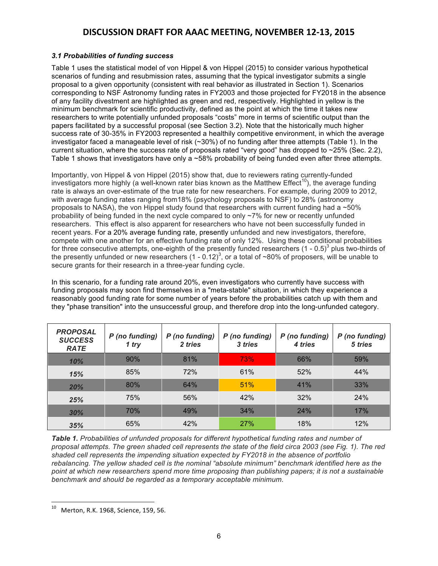### *3.1 Probabilities of funding success*

Table 1 uses the statistical model of von Hippel & von Hippel (2015) to consider various hypothetical scenarios of funding and resubmission rates, assuming that the typical investigator submits a single proposal to a given opportunity (consistent with real behavior as illustrated in Section 1). Scenarios corresponding to NSF Astronomy funding rates in FY2003 and those projected for FY2018 in the absence of any facility divestment are highlighted as green and red, respectively. Highlighted in yellow is the minimum benchmark for scientific productivity, defined as the point at which the time it takes new researchers to write potentially unfunded proposals "costs" more in terms of scientific output than the papers facilitated by a successful proposal (see Section 3.2). Note that the historically much higher success rate of 30-35% in FY2003 represented a healthily competitive environment, in which the average investigator faced a manageable level of risk (~30%) of no funding after three attempts (Table 1). In the current situation, where the success rate of proposals rated "very good" has dropped to ~25% (Sec. 2.2), Table 1 shows that investigators have only a ~58% probability of being funded even after three attempts.

Importantly, von Hippel & von Hippel (2015) show that, due to reviewers rating currently-funded investigators more highly (a well-known rater bias known as the Matthew Effect<sup>10</sup>), the average funding rate is always an over-estimate of the true rate for new researchers. For example, during 2009 to 2012, with average funding rates ranging from18% (psychology proposals to NSF) to 28% (astronomy proposals to NASA), the von Hippel study found that researchers with current funding had a  $~50\%$ probability of being funded in the next cycle compared to only ~7% for new or recently unfunded researchers. This effect is also apparent for researchers who have not been successfully funded in recent years. For a 20% average funding rate, presently unfunded and new investigators, therefore, compete with one another for an effective funding rate of only 12%. Using these conditional probabilities for three consecutive attempts, one-eighth of the presently funded researchers  $(1 - 0.5)^3$  plus two-thirds of the presently unfunded or new researchers  $(1 - 0.12)^3$ , or a total of ~80% of proposers, will be unable to secure grants for their research in a three-year funding cycle.

In this scenario, for a funding rate around 20%, even investigators who currently have success with funding proposals may soon find themselves in a "meta-stable" situation, in which they experience a reasonably good funding rate for some number of years before the probabilities catch up with them and they "phase transition" into the unsuccessful group, and therefore drop into the long-unfunded category.

| <b>PROPOSAL</b><br><b>SUCCESS</b><br><b>RATE</b> | P (no funding)<br>1 try | P (no funding)<br>2 tries | P (no funding)<br>3 tries | P (no funding)<br>4 tries | P (no funding)<br>5 tries |
|--------------------------------------------------|-------------------------|---------------------------|---------------------------|---------------------------|---------------------------|
| 10%                                              | 90%                     | 81%                       | <b>73%</b>                | 66%                       | 59%                       |
| 15%                                              | 85%                     | 72%                       | 61%                       | 52%                       | 44%                       |
| 20%                                              | 80%                     | 64%                       | 51%                       | 41%                       | 33%                       |
| 25%                                              | 75%                     | 56%                       | 42%                       | 32%                       | 24%                       |
| 30%                                              | 70%                     | 49%                       | 34%                       | 24%                       | 17%                       |
| 35%                                              | 65%                     | 42%                       | 27%                       | 18%                       | 12%                       |

*Table 1. Probabilities of unfunded proposals for different hypothetical funding rates and number of proposal attempts. The green shaded cell represents the state of the field circa 2003 (see Fig. 1). The red shaded cell represents the impending situation expected by FY2018 in the absence of portfolio rebalancing. The yellow shaded cell is the nominal "absolute minimum" benchmark identified here as the point at which new researchers spend more time proposing than publishing papers; it is not a sustainable benchmark and should be regarded as a temporary acceptable minimum.* 

<u> 1989 - Jan Stein Stein, fransk politiker (d. 1989)</u>

Merton, R.K. 1968, Science, 159, 56.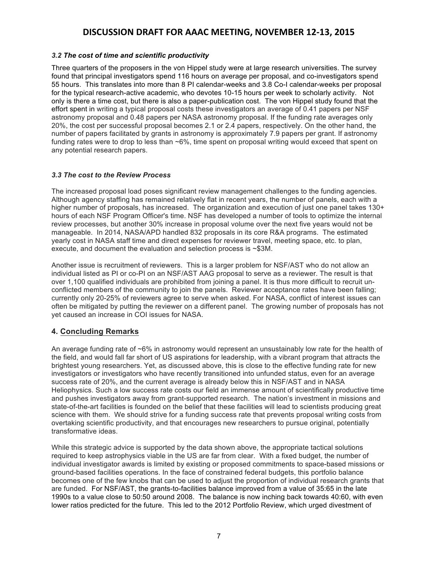### *3.2 The cost of time and scientific productivity*

Three quarters of the proposers in the von Hippel study were at large research universities. The survey found that principal investigators spend 116 hours on average per proposal, and co-investigators spend 55 hours. This translates into more than 8 PI calendar-weeks and 3.8 Co-I calendar-weeks per proposal for the typical research-active academic, who devotes 10-15 hours per week to scholarly activity. Not only is there a time cost, but there is also a paper-publication cost. The von Hippel study found that the effort spent in writing a typical proposal costs these investigators an average of 0.41 papers per NSF astronomy proposal and 0.48 papers per NASA astronomy proposal. If the funding rate averages only 20%, the cost per successful proposal becomes 2.1 or 2.4 papers, respectively. On the other hand, the number of papers facilitated by grants in astronomy is approximately 7.9 papers per grant. If astronomy funding rates were to drop to less than ~6%, time spent on proposal writing would exceed that spent on any potential research papers.

#### *3.3 The cost to the Review Process*

The increased proposal load poses significant review management challenges to the funding agencies. Although agency staffing has remained relatively flat in recent years, the number of panels, each with a higher number of proposals, has increased. The organization and execution of just one panel takes 130+ hours of each NSF Program Officer's time. NSF has developed a number of tools to optimize the internal review processes, but another 30% increase in proposal volume over the next five years would not be manageable. In 2014, NASA/APD handled 832 proposals in its core R&A programs. The estimated yearly cost in NASA staff time and direct expenses for reviewer travel, meeting space, etc. to plan, execute, and document the evaluation and selection process is ~\$3M.

Another issue is recruitment of reviewers. This is a larger problem for NSF/AST who do not allow an individual listed as PI or co-PI on an NSF/AST AAG proposal to serve as a reviewer. The result is that over 1,100 qualified individuals are prohibited from joining a panel. It is thus more difficult to recruit unconflicted members of the community to join the panels. Reviewer acceptance rates have been falling; currently only 20-25% of reviewers agree to serve when asked. For NASA, conflict of interest issues can often be mitigated by putting the reviewer on a different panel. The growing number of proposals has not yet caused an increase in COI issues for NASA.

### **4. Concluding Remarks**

An average funding rate of ~6% in astronomy would represent an unsustainably low rate for the health of the field, and would fall far short of US aspirations for leadership, with a vibrant program that attracts the brightest young researchers. Yet, as discussed above, this is close to the effective funding rate for new investigators or investigators who have recently transitioned into unfunded status, even for an average success rate of 20%, and the current average is already below this in NSF/AST and in NASA Heliophysics. Such a low success rate costs our field an immense amount of scientifically productive time and pushes investigators away from grant-supported research. The nation's investment in missions and state-of-the-art facilities is founded on the belief that these facilities will lead to scientists producing great science with them. We should strive for a funding success rate that prevents proposal writing costs from overtaking scientific productivity, and that encourages new researchers to pursue original, potentially transformative ideas.

While this strategic advice is supported by the data shown above, the appropriate tactical solutions required to keep astrophysics viable in the US are far from clear. With a fixed budget, the number of individual investigator awards is limited by existing or proposed commitments to space-based missions or ground-based facilities operations. In the face of constrained federal budgets, this portfolio balance becomes one of the few knobs that can be used to adjust the proportion of individual research grants that are funded. For NSF/AST, the grants-to-facilities balance improved from a value of 35:65 in the late 1990s to a value close to 50:50 around 2008. The balance is now inching back towards 40:60, with even lower ratios predicted for the future. This led to the 2012 Portfolio Review, which urged divestment of